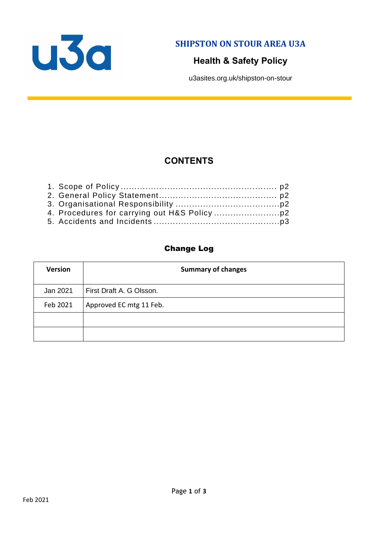

**SHIPSTON ON STOUR AREA U3A**

# **Health & Safety Policy**

u3asites.org.uk/shipston-on-stour

# **CONTENTS**

#### Change Log

| <b>Version</b> | <b>Summary of changes</b> |
|----------------|---------------------------|
| Jan 2021       | First Draft A. G Olsson.  |
| Feb 2021       | Approved EC mtg 11 Feb.   |
|                |                           |
|                |                           |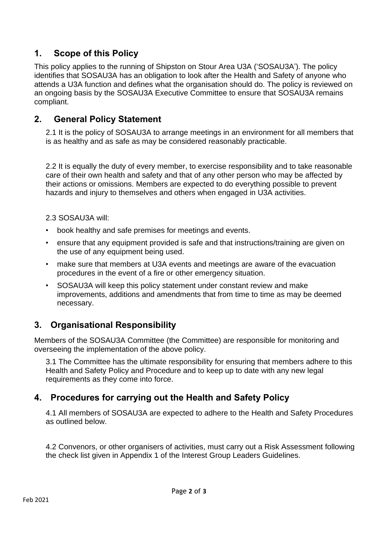### **1. Scope of this Policy**

This policy applies to the running of Shipston on Stour Area U3A ('SOSAU3A'). The policy identifies that SOSAU3A has an obligation to look after the Health and Safety of anyone who attends a U3A function and defines what the organisation should do. The policy is reviewed on an ongoing basis by the SOSAU3A Executive Committee to ensure that SOSAU3A remains compliant.

#### **2. General Policy Statement**

2.1 It is the policy of SOSAU3A to arrange meetings in an environment for all members that is as healthy and as safe as may be considered reasonably practicable.

2.2 It is equally the duty of every member, to exercise responsibility and to take reasonable care of their own health and safety and that of any other person who may be affected by their actions or omissions. Members are expected to do everything possible to prevent hazards and injury to themselves and others when engaged in U3A activities.

2.3 SOSAU3A will:

- book healthy and safe premises for meetings and events.
- ensure that any equipment provided is safe and that instructions/training are given on the use of any equipment being used.
- make sure that members at U3A events and meetings are aware of the evacuation procedures in the event of a fire or other emergency situation.
- SOSAU3A will keep this policy statement under constant review and make improvements, additions and amendments that from time to time as may be deemed necessary.

## **3. Organisational Responsibility**

Members of the SOSAU3A Committee (the Committee) are responsible for monitoring and overseeing the implementation of the above policy.

3.1 The Committee has the ultimate responsibility for ensuring that members adhere to this Health and Safety Policy and Procedure and to keep up to date with any new legal requirements as they come into force.

## **4. Procedures for carrying out the Health and Safety Policy**

4.1 All members of SOSAU3A are expected to adhere to the Health and Safety Procedures as outlined below.

4.2 Convenors, or other organisers of activities, must carry out a Risk Assessment following the check list given in Appendix 1 of the Interest Group Leaders Guidelines.